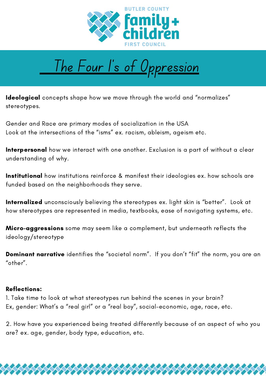



Ideological concepts shape how we move through the world and "normalizes" stereotypes.

Gender and Race are primary modes of socialization in the USA Look at the intersections of the "isms" ex. racism, ableism, ageism etc.

Interpersonal how we interact with one another. Exclusion is a part of without a clear understanding of why.

**Institutional** how institutions reinforce & manifest their ideologies ex. how schools are funded based on the neighborhoods they serve.

Internalized unconsciously believing the stereotypes ex. light skin is "better". Look at how stereotypes are represented in media, textbooks, ease of navigating systems, etc.

Micro-aggressions some may seem like a complement, but underneath reflects the ideology/stereotype

Dominant narrative identifies the "societal norm". If you don't "fit" the norm, you are an "other".

## Reflections:

1. Take time to look at what stereotypes run behind the scenes in your brain? Ex, gender: What's a "real girl" or a "real boy", social-economic, age, race, etc.

2. How have you experienced being treated differently because of an aspect of who you are? ex. age, gender, body type, education, etc.